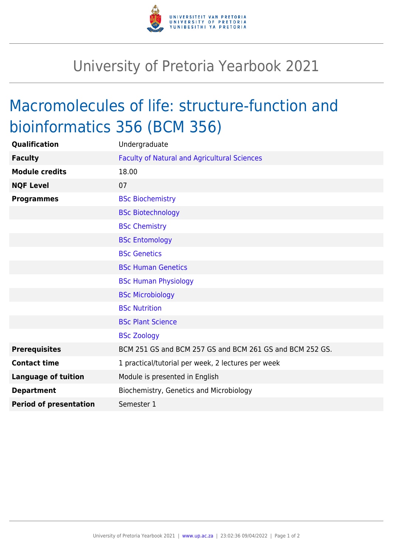

## University of Pretoria Yearbook 2021

## Macromolecules of life: structure-function and bioinformatics 356 (BCM 356)

| Qualification                 | Undergraduate                                            |
|-------------------------------|----------------------------------------------------------|
| <b>Faculty</b>                | <b>Faculty of Natural and Agricultural Sciences</b>      |
| <b>Module credits</b>         | 18.00                                                    |
| <b>NQF Level</b>              | 07                                                       |
| <b>Programmes</b>             | <b>BSc Biochemistry</b>                                  |
|                               | <b>BSc Biotechnology</b>                                 |
|                               | <b>BSc Chemistry</b>                                     |
|                               | <b>BSc Entomology</b>                                    |
|                               | <b>BSc Genetics</b>                                      |
|                               | <b>BSc Human Genetics</b>                                |
|                               | <b>BSc Human Physiology</b>                              |
|                               | <b>BSc Microbiology</b>                                  |
|                               | <b>BSc Nutrition</b>                                     |
|                               | <b>BSc Plant Science</b>                                 |
|                               | <b>BSc Zoology</b>                                       |
| <b>Prerequisites</b>          | BCM 251 GS and BCM 257 GS and BCM 261 GS and BCM 252 GS. |
| <b>Contact time</b>           | 1 practical/tutorial per week, 2 lectures per week       |
| <b>Language of tuition</b>    | Module is presented in English                           |
| <b>Department</b>             | Biochemistry, Genetics and Microbiology                  |
| <b>Period of presentation</b> | Semester 1                                               |